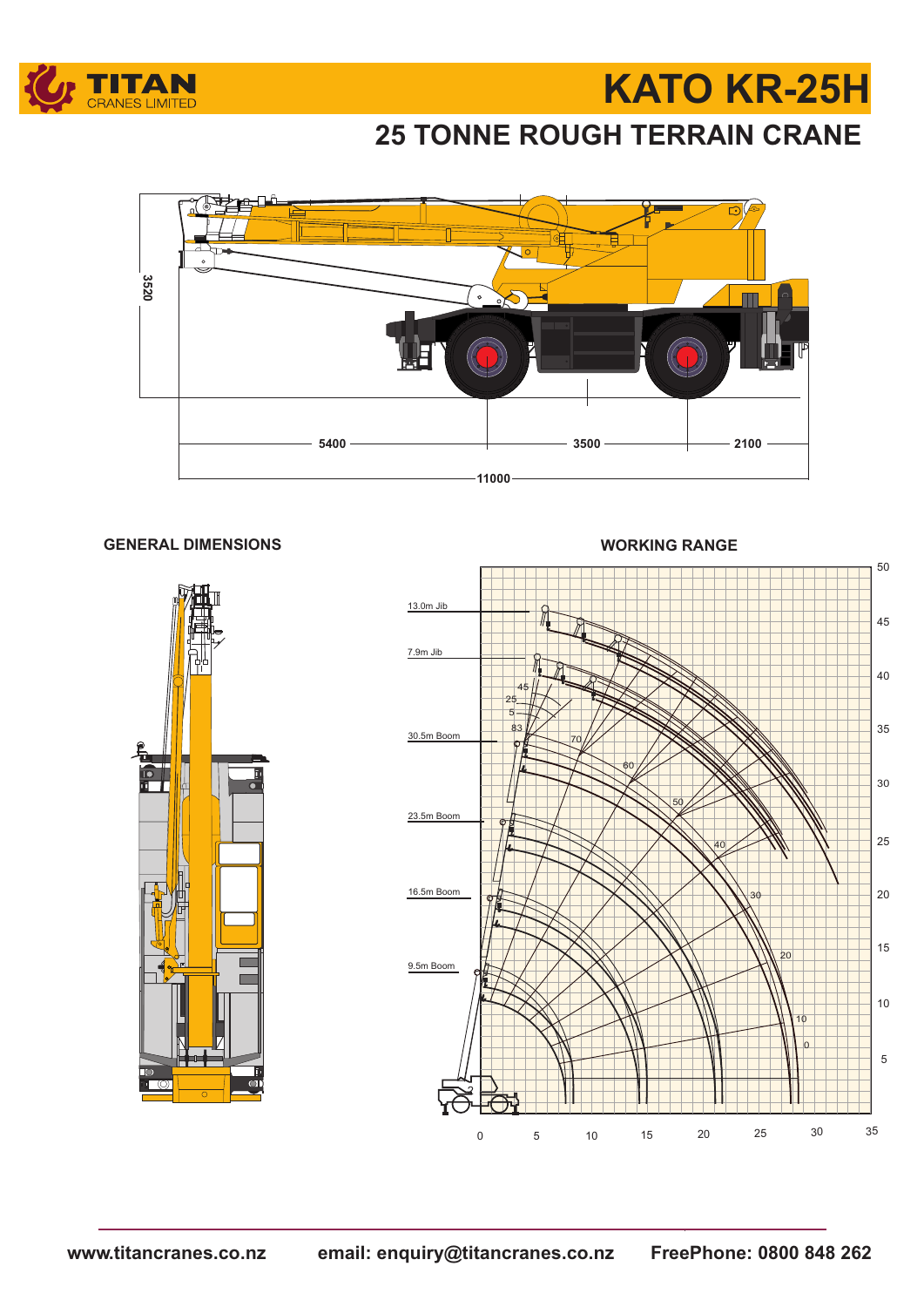

# **KATO KR-25H**

### **25 TONNE ROUGH TERRAIN CRANE**



#### **GENERAL DIMENSIONS WORKING RANGE**



 5 <sup>15</sup> <sup>20</sup> <sup>25</sup> <sup>30</sup> <sup>35</sup> <sup>10</sup> 13.0m Jib 30.5m Boom 23.5m Boom 16.5m Boom 9.5m Boom 7.9m Jib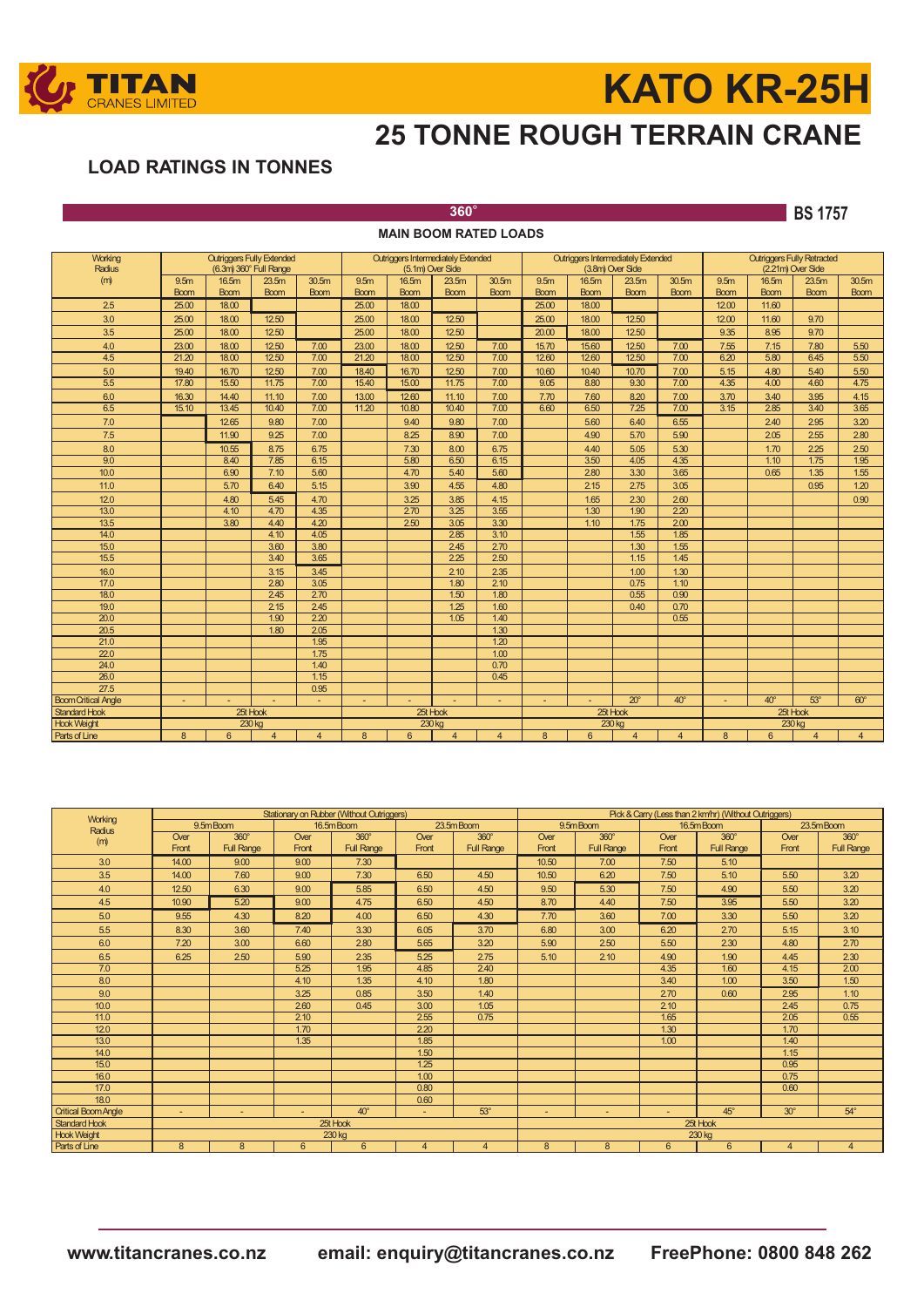

# **KATO KR-25H**

## **25 TONNE ROUGH TERRAIN CRANE**

### **LOAD RATINGS IN TONNES**

**360**° **BS 1757**

| <b>MAIN BOOM RATED LOADS</b> |                  |             |                                  |                   |                                           |                   |                |                   |                                           |             |                   |                |                                   |                   |                |                   |
|------------------------------|------------------|-------------|----------------------------------|-------------------|-------------------------------------------|-------------------|----------------|-------------------|-------------------------------------------|-------------|-------------------|----------------|-----------------------------------|-------------------|----------------|-------------------|
| Working                      |                  |             | <b>Outriggers Fully Extended</b> |                   | <b>Outriggers Intermediately Extended</b> |                   |                |                   | <b>Outriggers Intermediately Extended</b> |             |                   |                | <b>Outriggers Fully Retracted</b> |                   |                |                   |
| Radius                       |                  |             | (6.3m) 360° Full Range           |                   |                                           | (5.1m) Over Side  |                |                   | (3.8m) Over Side                          |             |                   |                | (2.21m) Over Side                 |                   |                |                   |
| (m)                          | 9.5 <sub>m</sub> | 16.5m       | 23.5 <sub>m</sub>                | 30.5 <sub>m</sub> | 9.5 <sub>m</sub>                          | 16.5 <sub>m</sub> | 23.5m          | 30.5 <sub>m</sub> | 9.5 <sub>m</sub>                          | 16.5m       | 23.5 <sub>m</sub> | 30.5m          | 9.5 <sub>m</sub>                  | 16.5 <sub>m</sub> | 23.5m          | 30.5 <sub>m</sub> |
|                              | <b>Boom</b>      | <b>Boom</b> | <b>Boom</b>                      | <b>Boom</b>       | <b>Boom</b>                               | <b>Boom</b>       | <b>Boom</b>    | <b>Boom</b>       | <b>Boom</b>                               | <b>Boom</b> | <b>Boom</b>       | <b>Boom</b>    | <b>Boom</b>                       | <b>Boom</b>       | <b>Boom</b>    | <b>Boom</b>       |
| 2.5                          | 25.00            | 18,00       |                                  |                   | 25.00                                     | 18.00             |                |                   | 25.00                                     | 18.00       |                   |                | 12.00                             | 11.60             |                |                   |
| 3.0                          | 25.00            | 18,00       | 12.50                            |                   | 25.00                                     | 18.00             | 12.50          |                   | 25.00                                     | 18.00       | 12.50             |                | 12.00                             | 11.60             | 9.70           |                   |
| 3.5                          | 25.00            | 18,00       | 12.50                            |                   | 25.00                                     | 18.00             | 12.50          |                   | 20.00                                     | 18.00       | 12.50             |                | 9.35                              | 8.95              | 9.70           |                   |
| 4.0                          | 23.00            | 18,00       | 12.50                            | 7.00              | 23.00                                     | 18.00             | 12.50          | 7.00              | 15.70                                     | 15,60       | 12.50             | 7.00           | 7.55                              | 7.15              | 7.80           | 5.50              |
| 4.5                          | 21.20            | 18,00       | 12.50                            | 7.00              | 21.20                                     | 18.00             | 12.50          | 7.00              | 12.60                                     | 12.60       | 12.50             | 7.00           | 6.20                              | 5.80              | 6.45           | 5.50              |
| 5.0                          | 19.40            | 16.70       | 12.50                            | 7.00              | 18.40                                     | 16.70             | 12.50          | 7.00              | 10.60                                     | 10.40       | 10.70             | 7.00           | 5.15                              | 4.80              | 5.40           | 5.50              |
| 5.5                          | 17.80            | 15.50       | 11.75                            | 7.00              | 15.40                                     | 15.00             | 11.75          | 7.00              | 9.05                                      | 8.80        | 9.30              | 7.00           | 4.35                              | 4.00              | 4.60           | 4.75              |
| 6.0                          | 16.30            | 14.40       | 11.10                            | 7.00              | 13.00                                     | 12.60             | 11.10          | 7.00              | 7.70                                      | 7.60        | 8.20              | 7.00           | 3.70                              | 3.40              | 3.95           | 4.15              |
| 6.5                          | 15.10            | 13.45       | 10.40                            | 7.00              | 11.20                                     | 10.80             | 10.40          | 7.00              | 6.60                                      | 6.50        | 7.25              | 7.00           | 3.15                              | 2.85              | 3.40           | 3.65              |
| 7.0                          |                  | 12.65       | 9.80                             | 7.00              |                                           | 9.40              | 9.80           | 7.00              |                                           | 5.60        | 6.40              | 6.55           |                                   | 2.40              | 2.95           | 3.20              |
| 7.5                          |                  | 11.90       | 9.25                             | 7.00              |                                           | 8.25              | 8.90           | 7.00              |                                           | 4.90        | 5.70              | 5.90           |                                   | 2.05              | 2.55           | 2.80              |
| 8.0                          |                  | 10.55       | 8.75                             | 6.75              |                                           | 7.30              | 8.00           | 6.75              |                                           | 4.40        | 5.05              | 5.30           |                                   | 1.70              | 2.25           | 2.50              |
| 9.0                          |                  | 8.40        | 7.85                             | 6.15              |                                           | 5.80              | 6.50           | 6.15              |                                           | 3.50        | 4.05              | 4.35           |                                   | 1.10              | 1.75           | 1.95              |
| 10.0                         |                  | 6.90        | 7.10                             | 5.60              |                                           | 4.70              | 5.40           | 5.60              |                                           | 2.80        | 3.30              | 3.65           |                                   | 0.65              | 1.35           | 1.55              |
| 11.0                         |                  | 5.70        | 6.40                             | 5.15              |                                           | 3.90              | 4.55           | 4.80              |                                           | 2.15        | 2.75              | 3.05           |                                   |                   | 0.95           | 1.20              |
| 12.0                         |                  | 4.80        | 5.45                             | 4.70              |                                           | 3.25              | 3.85           | 4.15              |                                           | 1.65        | 2.30              | 260            |                                   |                   |                | 0.90              |
| 13.0                         |                  | 4.10        | 4.70                             | 4.35              |                                           | 2.70              | 3.25           | 3.55              |                                           | 1.30        | 1.90              | 2.20           |                                   |                   |                |                   |
| 13.5                         |                  | 3.80        | 4.40                             | 4.20              |                                           | 2.50              | 3.05           | 3.30              |                                           | 1.10        | 1.75              | 200            |                                   |                   |                |                   |
| 14.0                         |                  |             | 4.10                             | 4.05              |                                           |                   | 2.85           | 3.10              |                                           |             | 1.55              | 1.85           |                                   |                   |                |                   |
| 15.0                         |                  |             | 3.60                             | 3.80              |                                           |                   | 245            | 2.70              |                                           |             | 1.30              | 1.55           |                                   |                   |                |                   |
| $\overline{15.5}$            |                  |             | 3.40                             | 3.65              |                                           |                   | 2.25           | 2.50              |                                           |             | 1.15              | 1.45           |                                   |                   |                |                   |
| 16.0                         |                  |             | 3.15                             | 3.45              |                                           |                   | 2.10           | 2.35              |                                           |             | 1.00              | 1.30           |                                   |                   |                |                   |
| 17.0                         |                  |             | 2.80                             | 3.05              |                                           |                   | 1.80           | 2.10              |                                           |             | 0.75              | 1.10           |                                   |                   |                |                   |
| 18.0                         |                  |             | 2.45                             | 270               |                                           |                   | 1.50           | 1.80              |                                           |             | 0.55              | 0.90           |                                   |                   |                |                   |
| 19.0                         |                  |             | 2.15                             | 245               |                                           |                   | 1.25           | 1.60              |                                           |             | 0.40              | 0.70           |                                   |                   |                |                   |
| 20.0                         |                  |             | 1.90                             | 2.20              |                                           |                   | 1.05           | 1.40              |                                           |             |                   | 0.55           |                                   |                   |                |                   |
| 20.5                         |                  |             | 1.80                             | 205               |                                           |                   |                | 1.30              |                                           |             |                   |                |                                   |                   |                |                   |
| 21.0<br>22.0                 |                  |             |                                  | 1.95<br>1.75      |                                           |                   |                | 1.20<br>1.00      |                                           |             |                   |                |                                   |                   |                |                   |
| 24.0                         |                  |             |                                  | 1.40              |                                           |                   |                | 0.70              |                                           |             |                   |                |                                   |                   |                |                   |
| 26.0                         |                  |             |                                  | 1.15              |                                           |                   |                | 0.45              |                                           |             |                   |                |                                   |                   |                |                   |
| 27.5                         |                  |             |                                  | 0.95              |                                           |                   |                |                   |                                           |             |                   |                |                                   |                   |                |                   |
| <b>Boom Critical Angle</b>   |                  |             |                                  |                   |                                           |                   |                |                   |                                           |             | $20^\circ$        | $40^\circ$     |                                   | $40^\circ$        | $53^\circ$     | $60^{\circ}$      |
| <b>Standard Hook</b>         |                  |             | 25t Hook                         |                   |                                           |                   | 25t Hook       |                   | 25t Hook                                  |             |                   |                |                                   |                   | 25t Hook       |                   |
| <b>Hook Weight</b>           |                  |             | 230 kg                           |                   |                                           |                   | 230 kg         |                   | 230 kg                                    |             |                   |                | 230 kg                            |                   |                |                   |
| Parts of Line                | 8                | 6           | 4                                | $\overline{4}$    | 8                                         | 6                 | $\overline{4}$ | $\overline{4}$    | 8                                         | 6           | $\overline{4}$    | $\overline{4}$ | 8                                 | 6                 | $\overline{4}$ | $\overline{4}$    |

| Working                    |        |                   |        | Stationary on Rubber (Without Outriggers) |                | Pick & Carry (Less than 2 km/hr) (Without Outriggers) |                                                            |                   |           |                   |                |                   |  |
|----------------------------|--------|-------------------|--------|-------------------------------------------|----------------|-------------------------------------------------------|------------------------------------------------------------|-------------------|-----------|-------------------|----------------|-------------------|--|
| Radius                     |        | 9.5mBoom          |        | 16.5mBoom                                 |                | 23.5mBoom                                             |                                                            | 9.5m Boom         | 16.5mBoom |                   |                | 23.5mBoom         |  |
| (m)                        | Over   | $360^\circ$       | Over   | $360^\circ$                               | Over           | $360^\circ$                                           | Over                                                       | $360^\circ$       | Over      | $360^\circ$       | Over           | $360^\circ$       |  |
|                            | Front  | <b>Full Range</b> | Front  | <b>Full Range</b>                         | Front          | <b>Full Range</b>                                     | Front                                                      | <b>Full Range</b> | Front     | <b>Full Range</b> | Front          | <b>Full Range</b> |  |
| 3.0                        | 14.00  | 9.00              | 9.00   | 7.30                                      |                |                                                       | 10.50                                                      | 7.00              | 7.50      | 5.10              |                |                   |  |
| 3.5                        | 14.00  | 7.60              | 9.00   | 7.30                                      | 6.50           | 4.50                                                  | 10.50                                                      | 6.20              | 7.50      | 5.10              | 5.50           | 3.20              |  |
| 4.0                        | 12.50  | 6.30              | 9.00   | 5.85                                      | 6.50           | 4.50                                                  | 9.50                                                       | 5.30              | 7.50      | 4.90              | 5.50           | 3.20              |  |
| 4.5                        | 10.90  | 5.20              | 9.00   | 4.75                                      | 6.50           | 4.50                                                  | 8.70                                                       | 4.40              | 7.50      | 3.95              | 5.50           | 3.20              |  |
| 5.0                        | 9.55   | 4.30              | 8.20   | 4.00                                      | 6.50           | 4.30                                                  | 7.70                                                       | 3.60              | 7.00      | 3.30              | 5.50           | 3.20              |  |
| 5.5                        | 8.30   | 3.60              | 7.40   | 3.30                                      | 6.05           | 3.70                                                  | 6.80                                                       | 3.00              | 6.20      | 2.70              | 5.15           | 3.10              |  |
| 6.0                        | 7.20   | 3.00              | 6.60   | 2.80                                      | 5.65           | 3.20                                                  | 5.90                                                       | 2.50              | 5.50      | 2.30              | 4.80           | 2.70              |  |
| 6.5                        | 6.25   | 2.50              | 5.90   | 2.35                                      | 5.25           | 2.75                                                  | 5.10                                                       | 2.10              | 4.90      | 1.90              | 4.45           | 2.30              |  |
| 7.0                        |        |                   | 5.25   | 1.95                                      | 4.85           | 2.40                                                  |                                                            |                   | 4.35      | 1.60              | 4.15           | 2.00              |  |
| 8.0                        |        |                   | 4.10   | 1.35                                      | 4.10           | 1.80                                                  |                                                            |                   | 3.40      | 1.00              | 3.50           | 1.50              |  |
| 9.0                        |        |                   | 3.25   | 0.85                                      | 3.50           | 1.40                                                  |                                                            |                   | 2.70      | 0.60              | 2.95           | 1.10              |  |
| 10.0                       |        |                   | 2.60   | 0.45                                      | 3.00           | 1.05                                                  |                                                            |                   | 2.10      |                   | 2.45           | 0.75              |  |
| 11.0                       |        |                   | 2.10   |                                           | 2.55           | 0.75                                                  |                                                            |                   | 1.65      |                   | 2.05           | 0.55              |  |
| 12.0                       |        |                   | 1.70   |                                           | 2.20           |                                                       |                                                            |                   | 1.30      |                   | 1.70           |                   |  |
| 13.0                       |        |                   | 1.35   |                                           | 1.85           |                                                       |                                                            |                   | 1.00      |                   | 1.40           |                   |  |
| 14.0                       |        |                   |        |                                           | 1.50           |                                                       |                                                            |                   |           |                   | 1.15           |                   |  |
| 15.0                       |        |                   |        |                                           | 1.25           |                                                       |                                                            |                   |           |                   | 0.95           |                   |  |
| 16.0                       |        |                   |        |                                           | 1.00           |                                                       |                                                            |                   |           |                   | 0.75           |                   |  |
| 17.0                       |        |                   |        |                                           | 0.80           |                                                       |                                                            |                   |           |                   | 0.60           |                   |  |
| 18.0                       |        |                   |        |                                           | 0.60           |                                                       |                                                            |                   |           |                   |                |                   |  |
| <b>Critical Boom Angle</b> | $\sim$ | $\overline{a}$    | $\sim$ | $40^{\circ}$                              | $\overline{a}$ | $53^\circ$                                            | $45^\circ$<br>$30^\circ$<br>$54^\circ$<br>$\sim$<br>$\sim$ |                   |           |                   |                |                   |  |
| <b>Standard Hook</b>       |        |                   |        | 25t Hook                                  |                |                                                       | 25t Hook                                                   |                   |           |                   |                |                   |  |
| <b>Hook Weight</b>         |        |                   |        | 230 kg                                    |                |                                                       |                                                            |                   |           | 230 kg            |                |                   |  |
| Parts of Line              | 8      | 8                 | 6      | 6                                         | 4              | $\overline{4}$                                        | 8                                                          | 8                 | 6         | 6                 | $\overline{A}$ | $\overline{4}$    |  |